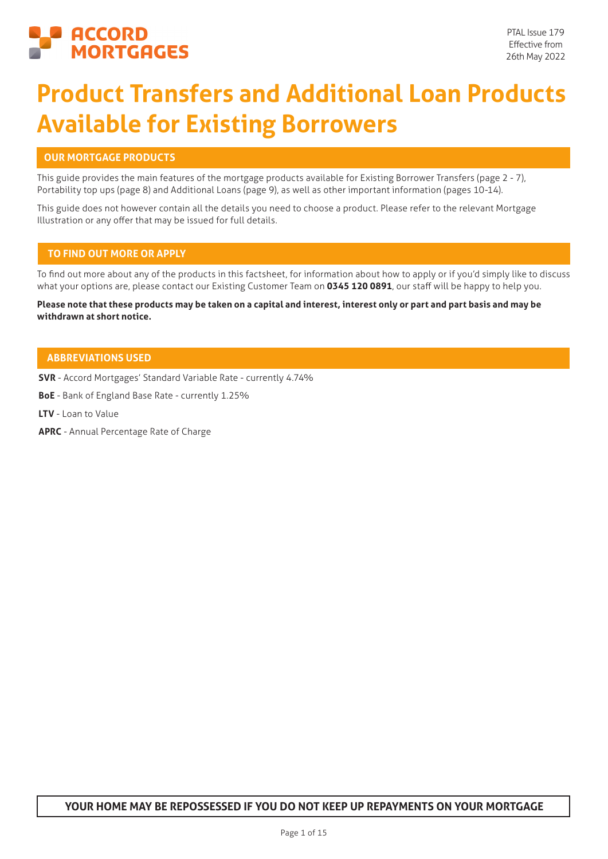

# **Product Transfers and Additional Loan Products Available for Existing Borrowers**

# **OUR MORTGAGE PRODUCTS**

This guide provides the main features of the mortgage products available for Existing Borrower Transfers (page 2 - 7), Portability top ups (page 8) and Additional Loans (page 9), as well as other important information (pages 10-14).

This guide does not however contain all the details you need to choose a product. Please refer to the relevant Mortgage Illustration or any offer that may be issued for full details.

# **TO FIND OUT MORE OR APPLY**

To find out more about any of the products in this factsheet, for information about how to apply or if you'd simply like to discuss what your options are, please contact our Existing Customer Team on **0345 120 0891**, our staff will be happy to help you.

**Please note that these products may be taken on a capital and interest, interest only or part and part basis and may be withdrawn at short notice.**

# **ABBREVIATIONS USED**

**SVR** - Accord Mortgages' Standard Variable Rate - currently 4.74%

**BoE** - Bank of England Base Rate - currently 1.25%

**LTV** - Loan to Value

**APRC** - Annual Percentage Rate of Charge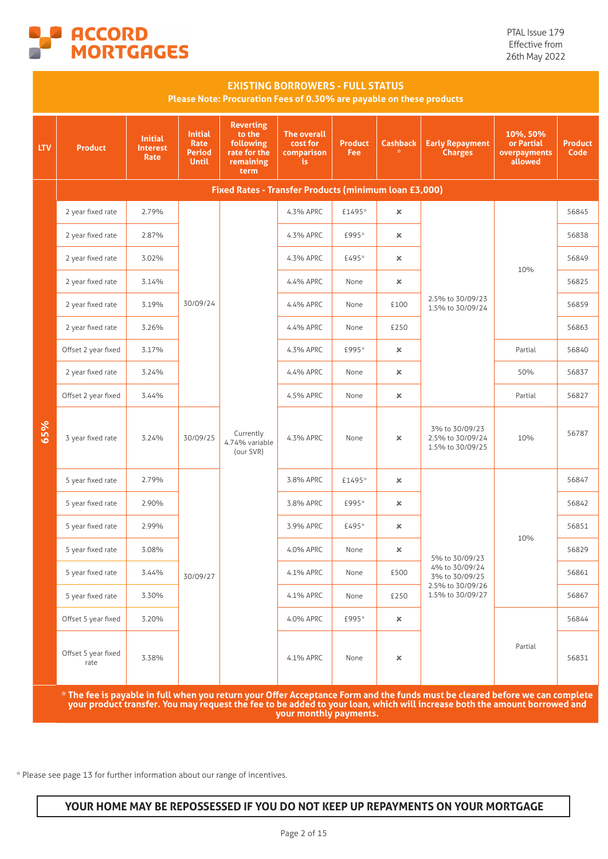

|            | <b>EXISTING BORROWERS - FULL STATUS</b><br>Please Note: Procuration Fees of 0.30% are payable on these products |                                                  |                                                         |                                                                              |                                                    |                       |                       |                                                                                                                                                                                                                                                           |                                                   |                        |
|------------|-----------------------------------------------------------------------------------------------------------------|--------------------------------------------------|---------------------------------------------------------|------------------------------------------------------------------------------|----------------------------------------------------|-----------------------|-----------------------|-----------------------------------------------------------------------------------------------------------------------------------------------------------------------------------------------------------------------------------------------------------|---------------------------------------------------|------------------------|
| <b>LTV</b> | <b>Product</b>                                                                                                  | <b>Initial</b><br><b>Interest</b><br><b>Rate</b> | <b>Initial</b><br>Rate<br><b>Period</b><br><b>Until</b> | <b>Reverting</b><br>to the<br>following<br>rate for the<br>remaining<br>term | <b>The overall</b><br>cost for<br>comparison<br>is | <b>Product</b><br>Fee | <b>Cashback</b>       | <b>Early Repayment</b><br><b>Charges</b>                                                                                                                                                                                                                  | 10%, 50%<br>or Partial<br>overpayments<br>allowed | <b>Product</b><br>Code |
|            |                                                                                                                 |                                                  |                                                         | Fixed Rates - Transfer Products (minimum loan £3,000)                        |                                                    |                       |                       |                                                                                                                                                                                                                                                           |                                                   |                        |
|            | 2 year fixed rate                                                                                               | 2.79%                                            |                                                         |                                                                              | 4.3% APRC                                          | £1495*                | $\pmb{\times}$        |                                                                                                                                                                                                                                                           |                                                   | 56845                  |
|            | 2 year fixed rate                                                                                               | 2.87%                                            |                                                         |                                                                              | 4.3% APRC                                          | £995*                 | ×                     |                                                                                                                                                                                                                                                           |                                                   | 56838                  |
|            | 2 year fixed rate                                                                                               | 3.02%                                            |                                                         |                                                                              | 4.3% APRC                                          | £495*                 | $\boldsymbol{\times}$ |                                                                                                                                                                                                                                                           | 10%<br>Partial                                    | 56849                  |
|            | 2 year fixed rate                                                                                               | 3.14%                                            |                                                         |                                                                              | 4.4% APRC                                          | None                  | $\pmb{\times}$        | 2.5% to 30/09/23<br>1.5% to 30/09/24                                                                                                                                                                                                                      |                                                   | 56825                  |
|            | 2 year fixed rate                                                                                               | 3.19%                                            | 30/09/24                                                |                                                                              | 4.4% APRC                                          | None                  | £100                  |                                                                                                                                                                                                                                                           |                                                   | 56859                  |
|            | 2 year fixed rate                                                                                               | 3.26%                                            |                                                         |                                                                              | 4.4% APRC                                          | None                  | £250                  |                                                                                                                                                                                                                                                           |                                                   | 56863                  |
|            | Offset 2 year fixed                                                                                             | 3.17%                                            |                                                         |                                                                              | 4.3% APRC                                          | £995*                 | ×                     |                                                                                                                                                                                                                                                           |                                                   | 56840                  |
|            | 2 year fixed rate                                                                                               | 3.24%                                            |                                                         |                                                                              | 4.4% APRC                                          | None                  | $\pmb{\times}$        | 50%                                                                                                                                                                                                                                                       | 56837                                             |                        |
|            | Offset 2 year fixed                                                                                             | 3.44%                                            |                                                         |                                                                              | 4.5% APRC                                          | None                  | $\pmb{\times}$        |                                                                                                                                                                                                                                                           | Partial                                           | 56827                  |
| 65%        | 3 year fixed rate                                                                                               | 3.24%                                            | 30/09/25                                                | Currently<br>4.74% variable<br>(our SVR)                                     | 4.3% APRC                                          | None                  | $\pmb{\times}$        | 3% to 30/09/23<br>2.5% to 30/09/24<br>1.5% to 30/09/25                                                                                                                                                                                                    | 10%                                               | 56787                  |
|            | 5 year fixed rate                                                                                               | 2.79%                                            |                                                         |                                                                              | 3.8% APRC                                          | £1495*                | $\pmb{\times}$        |                                                                                                                                                                                                                                                           |                                                   | 56847                  |
|            | 5 year fixed rate                                                                                               | 2.90%                                            |                                                         |                                                                              | 3.8% APRC                                          | £995*                 | ×                     |                                                                                                                                                                                                                                                           |                                                   | 56842                  |
|            | 5 year fixed rate                                                                                               | 2.99%                                            |                                                         |                                                                              | 3.9% APRC                                          | £495*                 | ×                     |                                                                                                                                                                                                                                                           |                                                   | 56851                  |
|            | 5 year fixed rate                                                                                               | 3.08%                                            |                                                         |                                                                              | 4.0% APRC                                          | None                  | $\pmb{\times}$        | 5% to 30/09/23                                                                                                                                                                                                                                            | 10%                                               | 56829                  |
|            | 5 year fixed rate                                                                                               | 3.44%                                            | 30/09/27                                                |                                                                              | 4.1% APRC                                          | None                  | £500                  | 4% to 30/09/24<br>3% to 30/09/25                                                                                                                                                                                                                          |                                                   | 56861                  |
|            | 5 year fixed rate                                                                                               | 3.30%                                            |                                                         |                                                                              | 4.1% APRC                                          | None                  | £250                  | 2.5% to 30/09/26<br>1.5% to 30/09/27                                                                                                                                                                                                                      |                                                   | 56867                  |
|            | Offset 5 year fixed                                                                                             | 3.20%                                            |                                                         |                                                                              | 4.0% APRC                                          | £995*                 | $\pmb{\times}$        |                                                                                                                                                                                                                                                           |                                                   | 56844                  |
|            | Offset 5 year fixed<br>rate                                                                                     | 3.38%                                            |                                                         |                                                                              | 4.1% APRC                                          | None                  | $\pmb{\times}$        | Partial                                                                                                                                                                                                                                                   |                                                   | 56831                  |
|            |                                                                                                                 |                                                  |                                                         |                                                                              |                                                    |                       |                       | * The fee is payable in full when you return your Offer Acceptance Form and the funds must be cleared before we can complete<br>your product transfer. You may request the fee to be added to your loan, which will increase both the amount borrowed and |                                                   |                        |

**your monthly payments.**

\* Please see page 13 for further information about our range of incentives.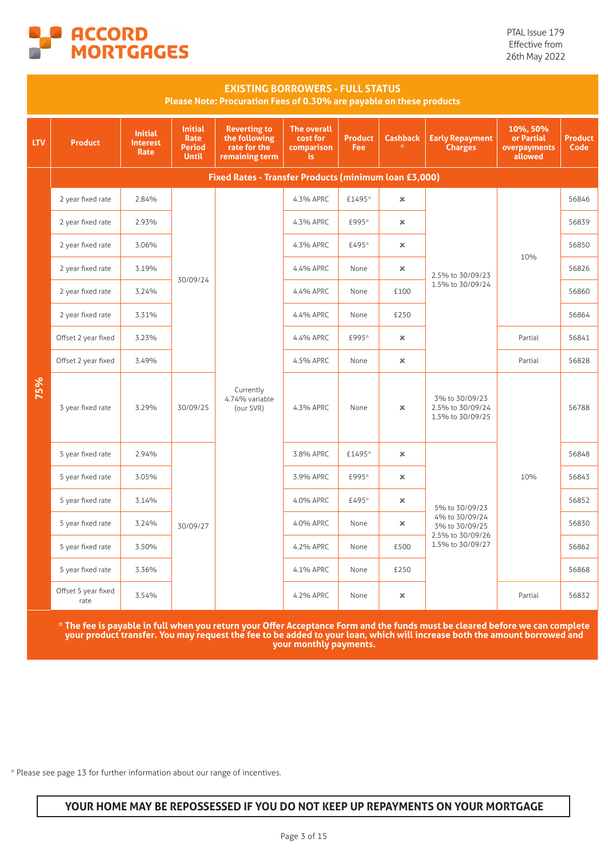

PTAL Issue 179 Effective from 26th May 2022

|            | <b>EXISTING BORROWERS - FULL STATUS</b><br>Please Note: Procuration Fees of 0.30% are payable on these products |                                                  |                                                         |                                                                        |                                             |                              |                      |                                                        |                                                   |                        |  |  |  |
|------------|-----------------------------------------------------------------------------------------------------------------|--------------------------------------------------|---------------------------------------------------------|------------------------------------------------------------------------|---------------------------------------------|------------------------------|----------------------|--------------------------------------------------------|---------------------------------------------------|------------------------|--|--|--|
| <b>LTV</b> | <b>Product</b>                                                                                                  | <b>Initial</b><br><b>Interest</b><br><b>Rate</b> | <b>Initial</b><br>Rate<br><b>Period</b><br><b>Until</b> | <b>Reverting to</b><br>the following<br>rate for the<br>remaining term | The overall<br>cost for<br>comparison<br>is | <b>Product</b><br><b>Fee</b> | <b>Cashback</b><br>女 | <b>Early Repayment</b><br><b>Charges</b>               | 10%, 50%<br>or Partial<br>overpayments<br>allowed | <b>Product</b><br>Code |  |  |  |
|            |                                                                                                                 |                                                  |                                                         | Fixed Rates - Transfer Products (minimum loan £3,000)                  |                                             |                              |                      |                                                        |                                                   |                        |  |  |  |
|            | 2 year fixed rate                                                                                               | 2.84%                                            |                                                         |                                                                        | 4.3% APRC                                   | £1495*                       | $\pmb{\times}$       |                                                        |                                                   | 56846                  |  |  |  |
|            | 2 year fixed rate                                                                                               | 2.93%                                            |                                                         |                                                                        | 4.3% APRC                                   | £995*                        | $\pmb{\times}$       |                                                        |                                                   | 56839                  |  |  |  |
|            | 2 year fixed rate                                                                                               | 3.06%                                            |                                                         |                                                                        | 4.3% APRC                                   | £495*                        | $\pmb{\times}$       |                                                        | 10%                                               | 56850                  |  |  |  |
|            | 2 year fixed rate                                                                                               | 3.19%                                            |                                                         |                                                                        | 4.4% APRC                                   | None                         | $\pmb{\times}$       | 2.5% to 30/09/23                                       |                                                   | 56826                  |  |  |  |
|            | 2 year fixed rate                                                                                               | 3.24%                                            | 30/09/24                                                |                                                                        | 4.4% APRC                                   | None                         | £100                 | 1.5% to 30/09/24                                       |                                                   | 56860                  |  |  |  |
|            | 2 year fixed rate                                                                                               | 3.31%                                            |                                                         |                                                                        | 4.4% APRC                                   | None                         | £250                 |                                                        |                                                   | 56864                  |  |  |  |
|            | Offset 2 year fixed                                                                                             | 3.23%                                            |                                                         |                                                                        | 4.4% APRC                                   | £995*                        | $\pmb{\times}$       |                                                        | Partial                                           | 56841                  |  |  |  |
|            | Offset 2 year fixed                                                                                             | 3.49%                                            |                                                         |                                                                        | 4.5% APRC                                   | None                         | $\pmb{\times}$       |                                                        | Partial                                           | 56828                  |  |  |  |
| 75%        | 3 year fixed rate                                                                                               | 3.29%                                            | 30/09/25                                                | Currently<br>4.74% variable<br>(our SVR)                               | 4.3% APRC                                   | None                         | $\pmb{\times}$       | 3% to 30/09/23<br>2.5% to 30/09/24<br>1.5% to 30/09/25 |                                                   | 56788                  |  |  |  |
|            | 5 year fixed rate                                                                                               | 2.94%                                            |                                                         |                                                                        | 3.8% APRC                                   | £1495*                       | $\pmb{\times}$       |                                                        |                                                   | 56848                  |  |  |  |
|            | 5 year fixed rate                                                                                               | 3.05%                                            |                                                         |                                                                        | 3.9% APRC                                   | £995*                        | $\pmb{\times}$       |                                                        | 10%                                               | 56843                  |  |  |  |
|            | 5 year fixed rate                                                                                               | 3.14%                                            |                                                         |                                                                        | 4.0% APRC                                   | £495*                        | $\pmb{\times}$       | 5% to 30/09/23                                         |                                                   | 56852                  |  |  |  |
|            | 5 year fixed rate                                                                                               | 3.24%                                            | 30/09/27                                                |                                                                        | 4.0% APRC                                   | None                         | $\pmb{\times}$       | 4% to 30/09/24<br>3% to 30/09/25                       |                                                   | 56830                  |  |  |  |
|            | 5 year fixed rate                                                                                               | 3.50%                                            |                                                         |                                                                        | 4.2% APRC                                   | None                         | £500                 | 2.5% to 30/09/26<br>1.5% to 30/09/27                   |                                                   | 56862                  |  |  |  |
|            | 5 year fixed rate                                                                                               | 3.36%                                            |                                                         |                                                                        | 4.1% APRC                                   | None                         | £250                 |                                                        |                                                   | 56868                  |  |  |  |
|            | Offset 5 year fixed<br>rate                                                                                     | 3.54%                                            |                                                         |                                                                        | 4.2% APRC                                   | None                         | $\pmb{\times}$       |                                                        | Partial                                           | 56832                  |  |  |  |

**\* The fee is payable in full when you return your Offer Acceptance Form and the funds must be cleared before we can complete your product transfer. You may request the fee to be added to your loan, which will increase both the amount borrowed and your monthly payments.**

\* Please see page 13 for further information about our range of incentives.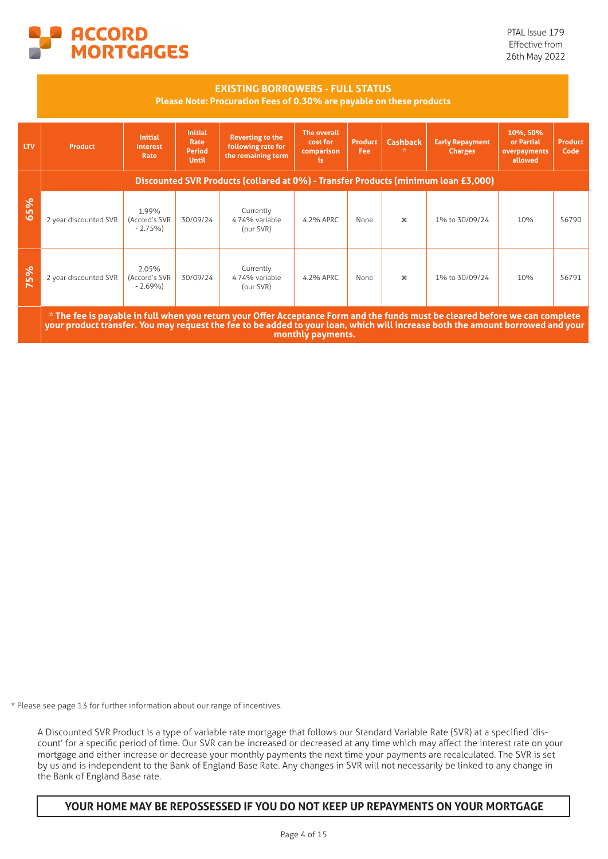

#### **EXISTING BORROWERS - FULL STATUS**

#### **Please Note: Procuration Fees of 0.30% are payable on these products**

| <b>LTV</b> | <b>Product</b>                                                                                                                                                                                                                                                                      | <b>Initial</b><br><b>Interest</b><br>Rate                                          | <b>Initial</b><br>Rate<br>Period<br><b>Until</b> | <b>Reverting to the</b><br>following rate for<br>the remaining term | <b>The overall</b><br>cost for<br>comparison<br>is. | <b>Product</b><br>Fee: | <b>Cashback</b> | <b>Early Repayment</b><br><b>Charges</b> | 10%, 50%<br>or Partial<br>overpayments<br>allowed | <b>Product</b><br>Code |  |
|------------|-------------------------------------------------------------------------------------------------------------------------------------------------------------------------------------------------------------------------------------------------------------------------------------|------------------------------------------------------------------------------------|--------------------------------------------------|---------------------------------------------------------------------|-----------------------------------------------------|------------------------|-----------------|------------------------------------------|---------------------------------------------------|------------------------|--|
|            |                                                                                                                                                                                                                                                                                     | Discounted SVR Products (collared at 0%) - Transfer Products (minimum loan £3,000) |                                                  |                                                                     |                                                     |                        |                 |                                          |                                                   |                        |  |
| 65%        | 2 year discounted SVR                                                                                                                                                                                                                                                               | 1.99%<br>(Accord's SVR<br>$-2.75%$                                                 | 30/09/24                                         | Currently<br>4.74% variable<br>(our SVR)                            | 4.2% APRC                                           | None                   | $\mathbf x$     | 1% to 30/09/24                           | 10%                                               | 56790                  |  |
| 75%        | 2 year discounted SVR                                                                                                                                                                                                                                                               | 2.05%<br>(Accord's SVR<br>$-2.69%$                                                 | 30/09/24                                         | Currently<br>4.74% variable<br>(our SVR)                            | 4.2% APRC                                           | None                   | $\times$        | 1% to 30/09/24                           | 10%                                               | 56791                  |  |
|            | * The fee is payable in full when you return your Offer Acceptance Form and the funds must be cleared before we can complete<br>your product transfer. You may request the fee to be added to your loan, which will increase both the amount borrowed and your<br>monthly payments. |                                                                                    |                                                  |                                                                     |                                                     |                        |                 |                                          |                                                   |                        |  |

\* Please see page 13 for further information about our range of incentives.

A Discounted SVR Product is a type of variable rate mortgage that follows our Standard Variable Rate (SVR) at a specified 'discount' for a specific period of time. Our SVR can be increased or decreased at any time which may affect the interest rate on your mortgage and either increase or decrease your monthly payments the next time your payments are recalculated. The SVR is set by us and is independent to the Bank of England Base Rate. Any changes in SVR will not necessarily be linked to any change in the Bank of England Base rate.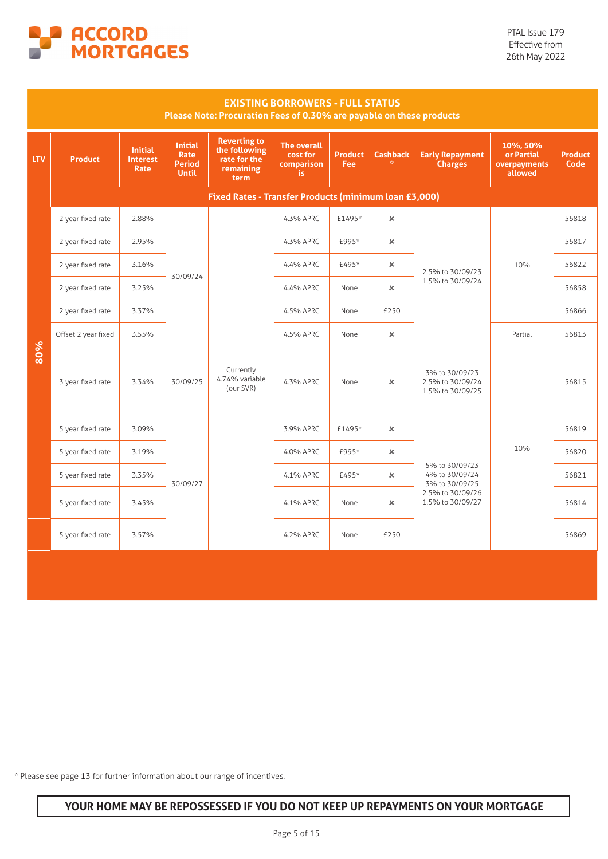

|            |                     |                                                  |                                                                | Please Note: Procuration Fees of 0.30% are payable on these products      | <b>EXISTING BORROWERS - FULL STATUS</b>             |                              |                      |                                                        |                                                   |                        |
|------------|---------------------|--------------------------------------------------|----------------------------------------------------------------|---------------------------------------------------------------------------|-----------------------------------------------------|------------------------------|----------------------|--------------------------------------------------------|---------------------------------------------------|------------------------|
| <b>LTV</b> | <b>Product</b>      | <b>Initial</b><br><b>Interest</b><br><b>Rate</b> | <b>Initial</b><br><b>Rate</b><br><b>Period</b><br><b>Until</b> | <b>Reverting to</b><br>the following<br>rate for the<br>remaining<br>term | <b>The overall</b><br>cost for<br>comparison<br>is. | <b>Product</b><br><b>Fee</b> | <b>Cashback</b><br>蚕 | <b>Early Repayment</b><br><b>Charges</b>               | 10%, 50%<br>or Partial<br>overpayments<br>allowed | <b>Product</b><br>Code |
|            |                     |                                                  |                                                                | Fixed Rates - Transfer Products (minimum loan £3,000)                     |                                                     |                              |                      |                                                        |                                                   |                        |
|            | 2 year fixed rate   | 2.88%                                            |                                                                |                                                                           | 4.3% APRC                                           | £1495*                       | $\pmb{\times}$       |                                                        | 10%                                               | 56818                  |
|            | 2 year fixed rate   | 2.95%                                            |                                                                |                                                                           | 4.3% APRC                                           | £995*                        | $\pmb{\times}$       |                                                        |                                                   | 56817                  |
|            | 2 year fixed rate   | 3.16%                                            |                                                                |                                                                           | 4.4% APRC                                           | £495*                        | $\infty$             | 2.5% to 30/09/23<br>1.5% to 30/09/24                   |                                                   | 56822                  |
|            | 2 year fixed rate   | 3.25%                                            | 30/09/24<br>30/09/25                                           |                                                                           | 4.4% APRC                                           | None                         | $\mathbf x$          |                                                        |                                                   | 56858                  |
|            | 2 year fixed rate   | 3.37%                                            |                                                                |                                                                           | 4.5% APRC                                           | None                         | £250                 |                                                        |                                                   | 56866                  |
|            | Offset 2 year fixed | 3.55%                                            |                                                                |                                                                           | 4.5% APRC                                           | None                         | $\pmb{\times}$       |                                                        | Partial                                           | 56813                  |
| 80%        | 3 year fixed rate   | 3.34%                                            |                                                                | Currently<br>4.74% variable<br>(our SVR)                                  | 4.3% APRC                                           | None                         | $\pmb{\times}$       | 3% to 30/09/23<br>2.5% to 30/09/24<br>1.5% to 30/09/25 |                                                   | 56815                  |
|            | 5 year fixed rate   | 3.09%                                            |                                                                |                                                                           | 3.9% APRC                                           | £1495*                       | $\pmb{\times}$       |                                                        |                                                   | 56819                  |
|            | 5 year fixed rate   | 3.19%                                            |                                                                |                                                                           | 4.0% APRC                                           | £995*                        | $\mathbf x$          |                                                        | 10%                                               | 56820                  |
|            | 5 year fixed rate   | 3.35%                                            | 30/09/27                                                       |                                                                           | 4.1% APRC                                           | £495*                        | $\pmb{\times}$       | 5% to 30/09/23<br>4% to 30/09/24<br>3% to 30/09/25     |                                                   | 56821                  |
|            | 5 year fixed rate   | 3.45%                                            |                                                                |                                                                           | 4.1% APRC                                           | None                         | $\pmb{\times}$       | 2.5% to 30/09/26<br>1.5% to 30/09/27                   |                                                   | 56814                  |
|            | 5 year fixed rate   | 3.57%                                            |                                                                |                                                                           | 4.2% APRC                                           | None                         | £250                 |                                                        |                                                   | 56869                  |
|            |                     |                                                  |                                                                |                                                                           |                                                     |                              |                      |                                                        |                                                   |                        |

\* Please see page 13 for further information about our range of incentives.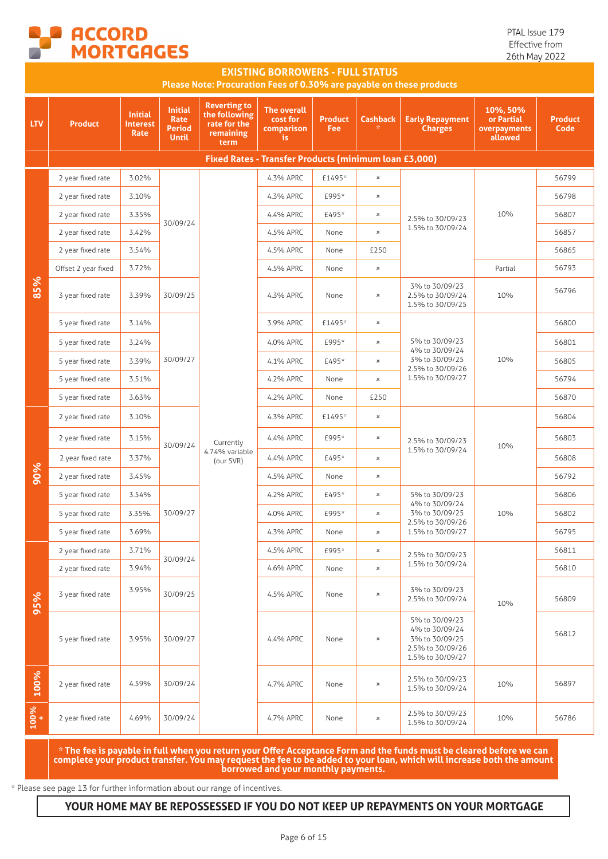

PTAL Issue 179 Effective from 26th May 2022

|            | <b>EXISTING BORROWERS - FULL STATUS</b><br>Please Note: Procuration Fees of 0.30% are payable on these products |                                    |                                                                |                                                                           |                                                       |                       |                       |                                                                                            |                                                   |                        |  |
|------------|-----------------------------------------------------------------------------------------------------------------|------------------------------------|----------------------------------------------------------------|---------------------------------------------------------------------------|-------------------------------------------------------|-----------------------|-----------------------|--------------------------------------------------------------------------------------------|---------------------------------------------------|------------------------|--|
| <b>LTV</b> | <b>Product</b>                                                                                                  | <b>Initial</b><br>Interest<br>Rate | <b>Initial</b><br><b>Rate</b><br><b>Period</b><br><b>Until</b> | <b>Reverting to</b><br>the following<br>rate for the<br>remaining<br>term | The overall<br>cost for<br>comparison<br>is.          | <b>Product</b><br>Fee | <b>Cashback</b>       | <b>Early Repayment</b><br><b>Charges</b>                                                   | 10%, 50%<br>or Partial<br>overpayments<br>allowed | <b>Product</b><br>Code |  |
|            |                                                                                                                 |                                    |                                                                |                                                                           | Fixed Rates - Transfer Products (minimum loan £3,000) |                       |                       |                                                                                            |                                                   |                        |  |
|            | 2 year fixed rate                                                                                               | 3.02%                              |                                                                |                                                                           | 4.3% APRC                                             | £1495*                | $\pmb{\times}$        |                                                                                            |                                                   | 56799                  |  |
|            | 2 year fixed rate                                                                                               | 3.10%                              |                                                                |                                                                           | 4.3% APRC                                             | £995*                 | $\boldsymbol{\times}$ |                                                                                            |                                                   | 56798                  |  |
|            | 2 year fixed rate                                                                                               | 3.35%                              | 30/09/24                                                       |                                                                           | 4.4% APRC                                             | £495*                 | $\pmb{\times}$        | 2.5% to 30/09/23                                                                           | 10%                                               | 56807                  |  |
|            | 2 year fixed rate                                                                                               | 3.42%                              |                                                                |                                                                           | 4.5% APRC                                             | None                  | $\boldsymbol{\times}$ | 1.5% to 30/09/24                                                                           |                                                   | 56857                  |  |
|            | 2 year fixed rate                                                                                               | 3.54%                              |                                                                |                                                                           | 4.5% APRC                                             | None                  | £250                  |                                                                                            |                                                   | 56865                  |  |
|            | Offset 2 year fixed                                                                                             | 3.72%                              |                                                                |                                                                           | 4.5% APRC                                             | None                  | $\pmb{\times}$        |                                                                                            | Partial                                           | 56793                  |  |
| 85%        | 3 year fixed rate                                                                                               | 3.39%                              | 30/09/25                                                       |                                                                           | 4.3% APRC                                             | None                  | $\pmb{\times}$        | 3% to 30/09/23<br>2.5% to 30/09/24<br>1.5% to 30/09/25                                     | 10%                                               | 56796                  |  |
|            | 5 year fixed rate                                                                                               | 3.14%                              |                                                                |                                                                           | 3.9% APRC                                             | £1495*                | $\boldsymbol{\times}$ | 5% to 30/09/23<br>4% to 30/09/24<br>3% to 30/09/25<br>2.5% to 30/09/26<br>1.5% to 30/09/27 | 10%                                               | 56800                  |  |
|            | 5 year fixed rate                                                                                               | 3.24%                              | 30/09/27                                                       |                                                                           | 4.0% APRC                                             | £995*                 | $\boldsymbol{\times}$ |                                                                                            |                                                   | 56801                  |  |
|            | 5 year fixed rate                                                                                               | 3.39%                              |                                                                |                                                                           | 4.1% APRC                                             | £495*                 | $\boldsymbol{\times}$ |                                                                                            |                                                   | 56805                  |  |
|            | 5 year fixed rate                                                                                               | 3.51%                              |                                                                |                                                                           | 4.2% APRC                                             | None                  | $\boldsymbol{\times}$ |                                                                                            |                                                   | 56794                  |  |
|            | 5 year fixed rate                                                                                               | 3.63%                              |                                                                |                                                                           | 4.2% APRC                                             | None                  | £250                  |                                                                                            |                                                   | 56870                  |  |
|            | 2 year fixed rate                                                                                               | 3.10%                              |                                                                | 4.3% APRC<br>£1495*<br>$\boldsymbol{\times}$                              |                                                       |                       | 56804                 |                                                                                            |                                                   |                        |  |
|            | 2 year fixed rate                                                                                               | 3.15%                              | 30/09/24                                                       | Currently                                                                 | 4.4% APRC                                             | £995*                 | $\pmb{\times}$        | 2.5% to 30/09/23                                                                           | 10%                                               | 56803                  |  |
|            | 2 year fixed rate                                                                                               | 3.37%                              |                                                                | 4.74% variable<br>(our SVR)                                               | 4.4% APRC                                             | £495*                 | $\boldsymbol{\times}$ | 1.5% to 30/09/24                                                                           |                                                   | 56808                  |  |
| 90%        | 2 year fixed rate                                                                                               | 3.45%                              |                                                                |                                                                           | 4.5% APRC                                             | None                  | $\pmb{\times}$        |                                                                                            |                                                   | 56792                  |  |
|            | 5 year fixed rate                                                                                               | 3.54%                              |                                                                |                                                                           | 4.2% APRC                                             | £495*                 | $\pmb{\times}$        | 5% to 30/09/23<br>4% to 30/09/24                                                           |                                                   | 56806                  |  |
|            | 5 year fixed rate                                                                                               | 3.35%.                             | 30/09/27                                                       |                                                                           | 4.0% APRC                                             | £995*                 | $\boldsymbol{\times}$ | 3% to 30/09/25<br>2.5% to 30/09/26                                                         | 10%                                               | 56802                  |  |
|            | 5 year fixed rate                                                                                               | 3.69%                              |                                                                |                                                                           | 4.3% APRC                                             | None                  | $\pmb{\times}$        | 1.5% to 30/09/27                                                                           |                                                   | 56795                  |  |
|            | 2 year fixed rate                                                                                               | 3.71%                              | 30/09/24                                                       |                                                                           | 4.5% APRC                                             | £995*                 | $\pmb{\times}$        | 2.5% to 30/09/23                                                                           |                                                   | 56811                  |  |
|            | 2 year fixed rate                                                                                               | 3.94%                              |                                                                |                                                                           | 4.6% APRC                                             | None                  | $\pmb{\times}$        | 1.5% to 30/09/24                                                                           |                                                   | 56810                  |  |
| 95%        | 3 year fixed rate                                                                                               | 3.95%                              | 30/09/25                                                       |                                                                           | 4.5% APRC                                             | None                  | $\pmb{\times}$        | 3% to 30/09/23<br>2.5% to 30/09/24                                                         | 10%                                               | 56809                  |  |
|            | 5 year fixed rate                                                                                               | 3.95%                              | 30/09/27                                                       |                                                                           | 4.4% APRC                                             | None                  | $\pmb{\times}$        | 5% to 30/09/23<br>4% to 30/09/24<br>3% to 30/09/25<br>2.5% to 30/09/26<br>1.5% to 30/09/27 |                                                   | 56812                  |  |
| 100%       | 2 year fixed rate                                                                                               | 4.59%                              | 30/09/24                                                       |                                                                           | 4.7% APRC                                             | None                  | $\pmb{\times}$        | 2.5% to 30/09/23<br>1.5% to 30/09/24                                                       | 10%                                               | 56897                  |  |
| 100%       | 2 year fixed rate                                                                                               | 4.69%                              | 30/09/24                                                       |                                                                           | 4.7% APRC                                             | None                  | $\pmb{\times}$        | 2.5% to 30/09/23<br>1.5% to 30/09/24                                                       | 10%                                               | 56786                  |  |

**\* The fee is payable in full when you return your Offer Acceptance Form and the funds must be cleared before we can complete your product transfer. You may request the fee to be added to your loan, which will increase both the amount borrowed and your monthly payments.**

\* Please see page 13 for further information about our range of incentives.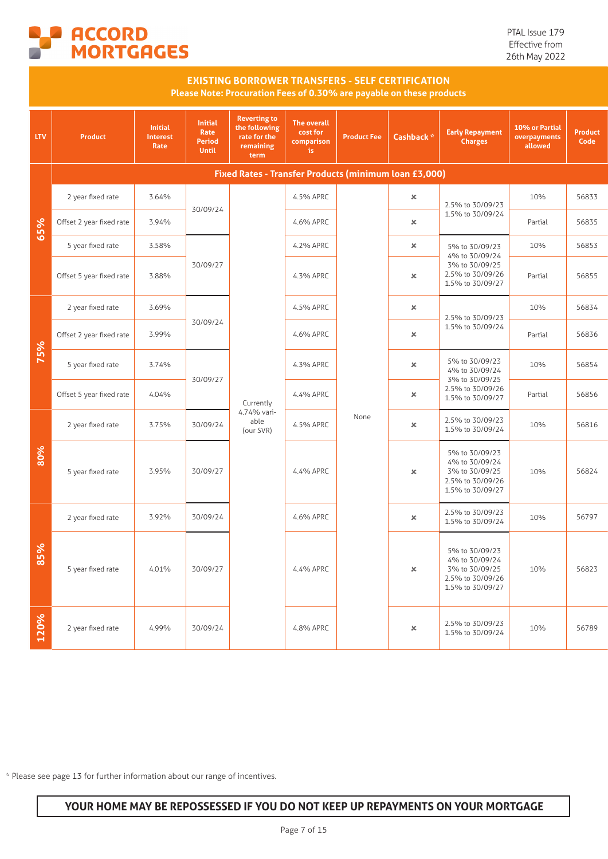

PTAL Issue 179 Effective from 26th May 2022

|            |                          |                                           |                                                         | <b>EXISTING BORROWER TRANSFERS - SELF CERTIFICATION</b><br>Please Note: Procuration Fees of 0.30% are payable on these products |                                                     |                    |                       |                                                                                            |                                           |                        |
|------------|--------------------------|-------------------------------------------|---------------------------------------------------------|---------------------------------------------------------------------------------------------------------------------------------|-----------------------------------------------------|--------------------|-----------------------|--------------------------------------------------------------------------------------------|-------------------------------------------|------------------------|
| <b>LTV</b> | <b>Product</b>           | <b>Initial</b><br><b>Interest</b><br>Rate | <b>Initial</b><br>Rate<br><b>Period</b><br><b>Until</b> | <b>Reverting to</b><br>the following<br>rate for the<br>remaining<br>term                                                       | <b>The overall</b><br>cost for<br>comparison<br>is. | <b>Product Fee</b> | Cashback <sup>*</sup> | <b>Early Repayment</b><br><b>Charges</b>                                                   | 10% or Partial<br>overpayments<br>allowed | <b>Product</b><br>Code |
|            |                          |                                           |                                                         | Fixed Rates - Transfer Products (minimum loan £3,000)                                                                           |                                                     |                    |                       |                                                                                            |                                           |                        |
|            | 2 year fixed rate        | 3.64%                                     | 30/09/24                                                |                                                                                                                                 | 4.5% APRC                                           |                    | ×                     | 2.5% to 30/09/23                                                                           | 10%                                       | 56833                  |
| 65%        | Offset 2 year fixed rate | 3.94%                                     |                                                         |                                                                                                                                 | 4.6% APRC                                           |                    | ×                     | 1.5% to 30/09/24                                                                           | Partial                                   | 56835                  |
|            | 5 year fixed rate        | 3.58%                                     |                                                         |                                                                                                                                 | 4.2% APRC                                           |                    | $\pmb{\times}$        | 5% to 30/09/23<br>4% to 30/09/24                                                           | 10%                                       | 56853                  |
|            | Offset 5 year fixed rate | 3.88%                                     | 30/09/27                                                |                                                                                                                                 | 4.3% APRC                                           |                    | ×                     | 3% to 30/09/25<br>2.5% to 30/09/26<br>1.5% to 30/09/27                                     | Partial                                   | 56855                  |
|            | 2 year fixed rate        | 3.69%                                     |                                                         |                                                                                                                                 | 4.5% APRC                                           |                    | ×                     | 2.5% to 30/09/23                                                                           | 10%                                       | 56834                  |
|            | Offset 2 year fixed rate | 3.99%                                     | 30/09/24                                                |                                                                                                                                 | 4.6% APRC                                           |                    | ×                     | 1.5% to 30/09/24                                                                           | Partial                                   | 56836                  |
| 75%        | 5 year fixed rate        | 3.74%                                     |                                                         |                                                                                                                                 | 4.3% APRC                                           |                    | ×                     | 5% to 30/09/23<br>4% to 30/09/24<br>3% to 30/09/25                                         | 10%                                       | 56854                  |
|            | Offset 5 year fixed rate | 4.04%                                     | 30/09/27                                                | Currently                                                                                                                       | 4.4% APRC                                           |                    | ×                     | 2.5% to 30/09/26<br>1.5% to 30/09/27                                                       | Partial                                   | 56856                  |
|            | 2 year fixed rate        | 3.75%                                     | 30/09/24                                                | 4.74% vari-<br>able<br>(our SVR)                                                                                                | 4.5% APRC                                           | None               | ×                     | 2.5% to 30/09/23<br>1.5% to 30/09/24                                                       | 10%                                       | 56816                  |
| 80%        | 5 year fixed rate        | 3.95%                                     | 30/09/27                                                |                                                                                                                                 | 4.4% APRC                                           |                    | ×                     | 5% to 30/09/23<br>4% to 30/09/24<br>3% to 30/09/25<br>2.5% to 30/09/26<br>1.5% to 30/09/27 | 10%                                       | 56824                  |
|            | 2 year fixed rate        | 3.92%                                     | 30/09/24                                                |                                                                                                                                 | 4.6% APRC                                           |                    | ×                     | 2.5% to 30/09/23<br>1.5% to 30/09/24                                                       | 10%                                       | 56797                  |
| 85%        | 5 year fixed rate        | 4.01%                                     | 30/09/27                                                |                                                                                                                                 | 4.4% APRC                                           |                    | ×                     | 5% to 30/09/23<br>4% to 30/09/24<br>3% to 30/09/25<br>2.5% to 30/09/26<br>1.5% to 30/09/27 | 10%                                       | 56823                  |
| 120%       | 2 year fixed rate        | 4.99%                                     | 30/09/24                                                |                                                                                                                                 | 4.8% APRC                                           |                    | ×                     | 2.5% to 30/09/23<br>1.5% to 30/09/24                                                       | 10%                                       | 56789                  |

\* Please see page 13 for further information about our range of incentives.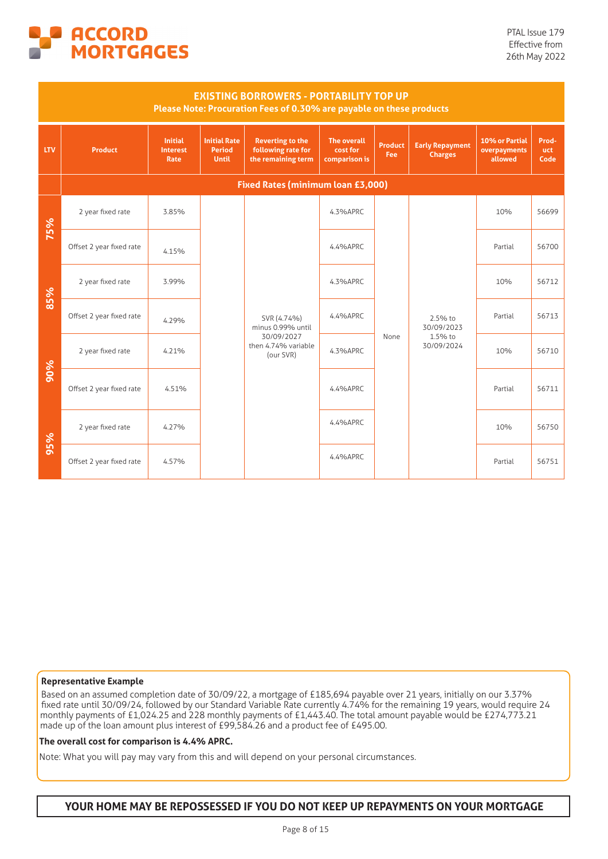

|            |                          |                                           |                                                      | <b>EXISTING BORROWERS - PORTABILITY TOP UP</b><br>Please Note: Procuration Fees of 0.30% are payable on these products |                                                 |                       |                                          |                                           |                             |
|------------|--------------------------|-------------------------------------------|------------------------------------------------------|------------------------------------------------------------------------------------------------------------------------|-------------------------------------------------|-----------------------|------------------------------------------|-------------------------------------------|-----------------------------|
| <b>LTV</b> | <b>Product</b>           | <b>Initial</b><br><b>Interest</b><br>Rate | <b>Initial Rate</b><br><b>Period</b><br><b>Until</b> | <b>Reverting to the</b><br>following rate for<br>the remaining term                                                    | <b>The overall</b><br>cost for<br>comparison is | <b>Product</b><br>Fee | <b>Early Repayment</b><br><b>Charges</b> | 10% or Partial<br>overpayments<br>allowed | Prod-<br><b>uct</b><br>Code |
|            |                          |                                           |                                                      | Fixed Rates (minimum loan £3,000)                                                                                      |                                                 |                       |                                          |                                           |                             |
| 75%        | 2 year fixed rate        | 3.85%                                     |                                                      |                                                                                                                        | 4.3%APRC                                        |                       |                                          | 10%                                       | 56699                       |
|            | Offset 2 year fixed rate | 4.15%                                     |                                                      |                                                                                                                        | 4.4%APRC                                        |                       |                                          | Partial                                   | 56700                       |
| 85%        | 2 year fixed rate        | 3.99%                                     |                                                      |                                                                                                                        | 4.3%APRC                                        |                       |                                          | 10%                                       | 56712                       |
|            | Offset 2 year fixed rate | 4.29%                                     |                                                      | SVR (4.74%)<br>minus 0.99% until                                                                                       | 4.4%APRC                                        |                       | 2.5% to<br>30/09/2023                    | Partial                                   | 56713                       |
|            | 2 year fixed rate        | 4.21%                                     |                                                      | 30/09/2027<br>then 4.74% variable<br>(our SVR)                                                                         | 4.3%APRC                                        | None                  | 1.5% to<br>30/09/2024                    | 10%                                       | 56710                       |
| 90%        | Offset 2 year fixed rate | 4.51%                                     |                                                      |                                                                                                                        | 4.4%APRC                                        |                       |                                          | Partial                                   | 56711                       |
| 95%        | 2 year fixed rate        | 4.27%                                     |                                                      |                                                                                                                        | 4.4%APRC                                        |                       |                                          | 10%                                       | 56750                       |
|            | Offset 2 year fixed rate | 4.57%                                     |                                                      |                                                                                                                        | 4.4%APRC                                        |                       |                                          | Partial                                   | 56751                       |

#### **Representative Example**

Based on an assumed completion date of 30/09/22, a mortgage of £185,694 payable over 21 years, initially on our 3.37% fixed rate until 30/09/24, followed by our Standard Variable Rate currently 4.74% for the remaining 19 years, would require 24 monthly payments of £1,024.25 and 228 monthly payments of £1,443.40. The total amount payable would be £274,773.21 made up of the loan amount plus interest of £99,584.26 and a product fee of £495.00.

#### **The overall cost for comparison is 4.4% APRC.**

Note: What you will pay may vary from this and will depend on your personal circumstances.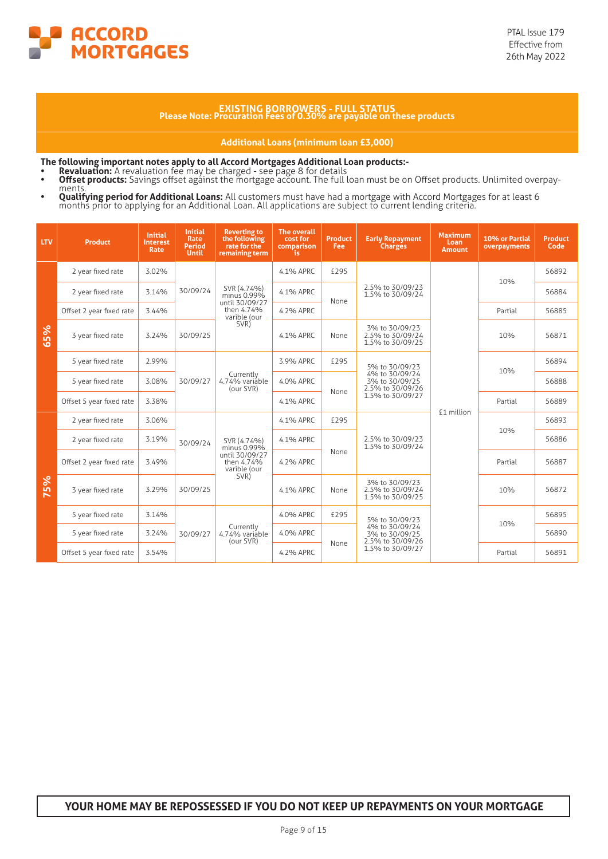

# **EXISTING BORROWERS - FULL STATUS Please Note: Procuration Fees of 0.30% are payable on these products**

**Additional Loans (minimum loan £3,000)**

**The following important notes apply to all Accord Mortgages Additional Loan products:-**

- 
- Revaluation: A revaluation fee may be charged see page 8 for details<br>• Offset products: Savings offset against the mortgage account. The full loan must be on Offset products. Unlimited overpay-<br>• Qualifying period for
- 

| <b>LTV</b> | <b>Product</b>           | <b>Initial</b><br><b>Interest</b><br><b>Rate</b> | <b>Initial</b><br><b>Rate</b><br><b>Period</b><br><b>Until</b> | <b>Reverting to</b><br>the following<br>rate for the<br>remaining term | <b>The overall</b><br>cost for<br>comparison<br>is. | <b>Product</b><br>Fee | <b>Early Repayment</b><br><b>Charges</b>               | <b>Maximum</b><br>Loan<br><b>Amount</b> | 10% or Partial<br>overpayments | <b>Product</b><br>Code |
|------------|--------------------------|--------------------------------------------------|----------------------------------------------------------------|------------------------------------------------------------------------|-----------------------------------------------------|-----------------------|--------------------------------------------------------|-----------------------------------------|--------------------------------|------------------------|
|            | 2 year fixed rate        | 3.02%                                            |                                                                |                                                                        | 4.1% APRC                                           | £295                  |                                                        |                                         | 10%                            | 56892                  |
|            | 2 year fixed rate        | 3.14%                                            | 30/09/24                                                       | SVR (4.74%)<br>minus 0.99%<br>until 30/09/27                           | 4.1% APRC                                           | None                  | 2.5% to 30/09/23<br>1.5% to 30/09/24                   |                                         |                                | 56884                  |
|            | Offset 2 year fixed rate | 3.44%                                            |                                                                | then 4.74%<br>varible (our                                             | 4.2% APRC                                           |                       |                                                        | Partial                                 | 56885                          |                        |
| 65%        | 3 year fixed rate        | 3.24%                                            | 30/09/25                                                       | SVR)                                                                   | 4.1% APRC                                           | None                  | 3% to 30/09/23<br>2.5% to 30/09/24<br>1.5% to 30/09/25 |                                         | 10%                            | 56871                  |
|            | 5 year fixed rate        | 2.99%                                            |                                                                |                                                                        | 3.9% APRC                                           | £295                  | 5% to 30/09/23                                         |                                         |                                | 56894                  |
|            | 5 year fixed rate        | 3.08%                                            | 30/09/27                                                       | Currently<br>4.74% variable<br>(our SVR)                               | 4.0% APRC                                           |                       | 4% to 30/09/24<br>3% to 30/09/25<br>2.5% to 30/09/26   |                                         | 10%<br>Partial                 | 56888                  |
|            | Offset 5 year fixed rate | 3.38%                                            |                                                                |                                                                        | 4.1% APRC                                           | None                  | 1.5% to 30/09/27                                       |                                         |                                | 56889                  |
|            | 2 year fixed rate        | 3.06%                                            |                                                                |                                                                        | 4.1% APRC                                           | £295                  | £1 million                                             | 10%                                     | 56893                          |                        |
|            | 2 year fixed rate        | 3.19%                                            | 30/09/24                                                       | SVR (4.74%)<br>minus 0.99%                                             | 4.1% APRC                                           |                       | 2.5% to 30/09/23<br>1.5% to 30/09/24                   |                                         |                                | 56886                  |
|            | Offset 2 year fixed rate | 3.49%                                            |                                                                | until 30/09/27<br>then 4.74%<br>varible (our                           | 4.2% APRC                                           | None                  |                                                        |                                         | Partial                        | 56887                  |
| 75%        | 3 year fixed rate        | 3.29%                                            | 30/09/25                                                       | SVR)                                                                   | 4.1% APRC                                           | None                  | 3% to 30/09/23<br>2.5% to 30/09/24<br>1.5% to 30/09/25 |                                         | 10%                            | 56872                  |
|            | 5 year fixed rate        | 3.14%                                            |                                                                |                                                                        | 4.0% APRC                                           | £295                  | 5% to 30/09/23                                         |                                         | 10%                            | 56895                  |
|            | 5 year fixed rate        | 3.24%                                            | 30/09/27                                                       | Currently<br>4.74% variáble                                            | 4.0% APRC                                           |                       | 4% to 30/09/24<br>3% to 30/09/25<br>2.5% to 30/09/26   |                                         |                                | 56890                  |
|            | Offset 5 year fixed rate | 3.54%                                            |                                                                | (our SVR)                                                              | 4.2% APRC                                           | None                  | 1.5% to 30/09/27                                       |                                         | Partial                        | 56891                  |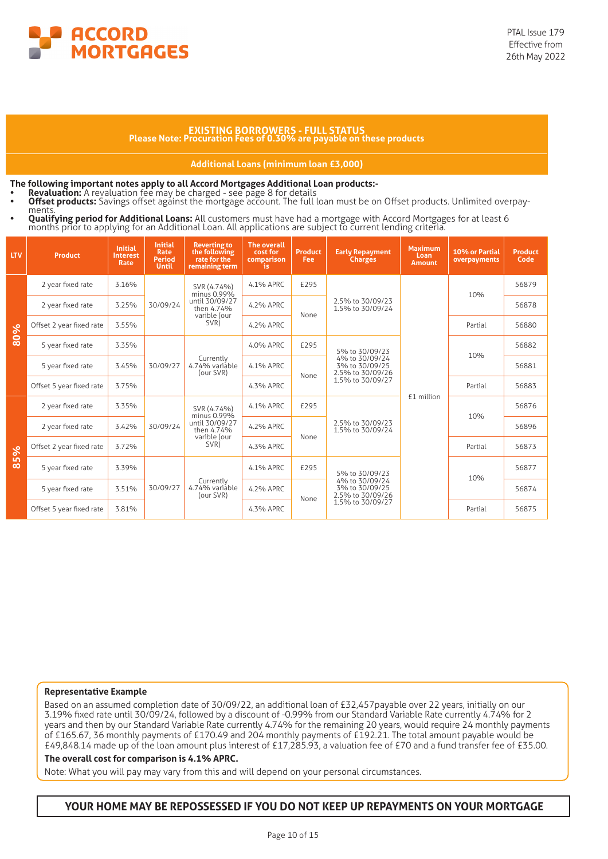

# **EXISTING BORROWERS - FULL STATUS Please Note: Procuration Fees of 0.30% are payable on these products**

#### **Additional Loans (minimum loan £3,000)**

- 
- **The following important notes apply to all Accord Mortgages Additional Loan products:-<br>• Revaluation:** A revaluation fee may be charged see page 8 for details<br>• Offset products: Savings offset against the mortgage accou
- **Qualifying period for Additional Loans:** All customers must have had a mortgage with Accord Mortgages for at least 6<br>months prior to applying for an Additional Loan. All applications are subject to current lending criteri

| <b>LTV</b> | <b>Product</b>           | <b>Initial</b><br><b>Interest</b><br><b>Rate</b> | <b>Initial</b><br>Rate<br><b>Period</b><br><b>Until</b> | <b>Reverting to</b><br>the following<br>rate for the<br>remaining term | <b>The overall</b><br>cost for<br>comparison<br>is. | <b>Product</b><br><b>Fee</b>                                 | <b>Early Repayment</b><br><b>Charges</b>             | <b>Maximum</b><br>Loan<br><b>Amount</b> | 10% or Partial<br>overpayments | <b>Product</b><br>Code |
|------------|--------------------------|--------------------------------------------------|---------------------------------------------------------|------------------------------------------------------------------------|-----------------------------------------------------|--------------------------------------------------------------|------------------------------------------------------|-----------------------------------------|--------------------------------|------------------------|
|            | 2 year fixed rate        | 3.16%                                            |                                                         | SVR (4.74%)<br>minus 0.99%                                             | 4.1% APRC                                           | £295                                                         |                                                      |                                         | 10%                            | 56879                  |
|            | 2 year fixed rate        | 3.25%                                            | 30/09/24                                                | until 30/09/27<br>then 4.74%                                           | 4.2% APRC                                           | None                                                         | 2.5% to 30/09/23<br>1.5% to 30/09/24                 |                                         |                                | 56878                  |
| 80%        | Offset 2 year fixed rate | 3.55%                                            |                                                         | varible (our<br>SVR)                                                   | 4.2% APRC                                           |                                                              |                                                      |                                         | Partial<br>10%                 | 56880                  |
|            | 5 year fixed rate        | 3.35%                                            |                                                         |                                                                        | 4.0% APRC                                           | £295                                                         | 5% to 30/09/23                                       |                                         |                                | 56882                  |
|            | 5 year fixed rate        | 3.45%                                            | 30/09/27                                                | Currently<br>4.74% variable<br>(our SVR)                               | 4.1% APRC                                           | 4% to 30/09/24<br>3% to 30/09/25<br>2.5% to 30/09/26<br>None |                                                      |                                         | 56881                          |                        |
|            | Offset 5 year fixed rate | 3.75%                                            |                                                         |                                                                        | 4.3% APRC                                           |                                                              | 1.5% to 30/09/27                                     |                                         | Partial                        | 56883                  |
|            | 2 year fixed rate        | 3.35%                                            |                                                         | SVR (4.74%)<br>minus 0.99%                                             | £1 million<br>£295<br>4.1% APRC                     |                                                              | 10%                                                  | 56876                                   |                                |                        |
|            | 2 year fixed rate        | 3.42%                                            | 30/09/24                                                | until 30/09/27<br>then 4.74%                                           | 4.2% APRC                                           |                                                              | 2.5% to 30/09/23<br>1.5% to 30/09/24                 |                                         |                                | 56896                  |
| 85%        | Offset 2 year fixed rate | 3.72%                                            |                                                         | varible (our<br>SVR)                                                   | 4.3% APRC                                           | None                                                         |                                                      |                                         | Partial                        | 56873                  |
|            | 5 year fixed rate        | 3.39%                                            |                                                         |                                                                        | 4.1% APRC                                           | £295                                                         | 5% to 30/09/23                                       |                                         |                                | 56877                  |
|            | 5 year fixed rate        | 3.51%                                            | 30/09/27                                                | Currently<br>4.74% variáble<br>(our SVR)                               | 4.2% APRC                                           |                                                              | 4% to 30/09/24<br>3% to 30/09/25<br>2.5% to 30/09/26 |                                         | 10%                            | 56874                  |
|            | Offset 5 year fixed rate | 3.81%                                            |                                                         |                                                                        | None<br>1.5% to 30/09/27<br>4.3% APRC               |                                                              | Partial                                              | 56875                                   |                                |                        |

#### **Representative Example**

Based on an assumed completion date of 30/09/22, an additional loan of £32,457payable over 22 years, initially on our 3.19% fixed rate until 30/09/24, followed by a discount of -0.99% from our Standard Variable Rate currently 4.74% for 2 years and then by our Standard Variable Rate currently 4.74% for the remaining 20 years, would require 24 monthly payments of £165.67, 36 monthly payments of £170.49 and 204 monthly payments of £192.21. The total amount payable would be £49,848.14 made up of the loan amount plus interest of £17,285.93, a valuation fee of £70 and a fund transfer fee of £35.00.

#### **The overall cost for comparison is 4.1% APRC.**

Note: What you will pay may vary from this and will depend on your personal circumstances.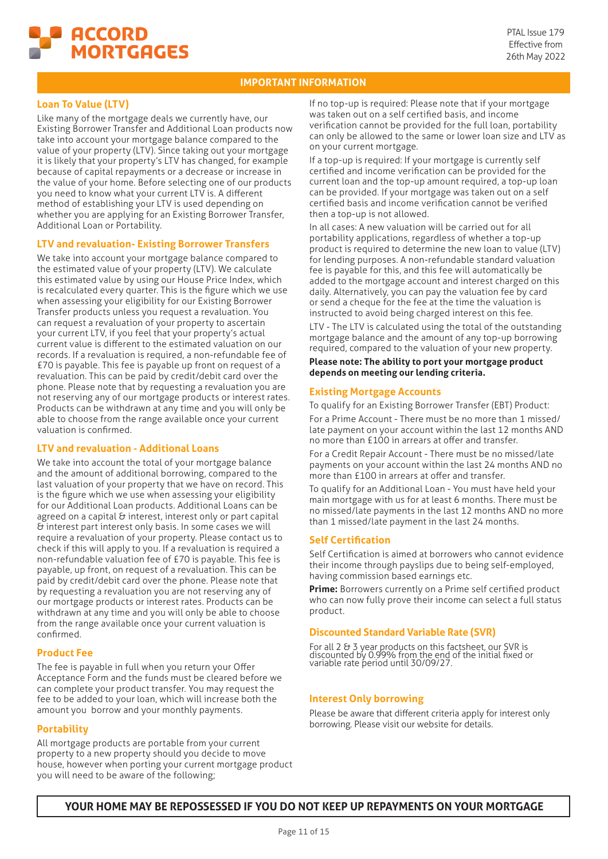

# **Loan To Value (LTV)**

Like many of the mortgage deals we currently have, our Existing Borrower Transfer and Additional Loan products now take into account your mortgage balance compared to the value of your property (LTV). Since taking out your mortgage it is likely that your property's LTV has changed, for example because of capital repayments or a decrease or increase in the value of your home. Before selecting one of our products you need to know what your current LTV is. A different method of establishing your LTV is used depending on whether you are applying for an Existing Borrower Transfer, Additional Loan or Portability.

#### **LTV and revaluation- Existing Borrower Transfers**

We take into account your mortgage balance compared to the estimated value of your property (LTV). We calculate this estimated value by using our House Price Index, which is recalculated every quarter. This is the figure which we use when assessing your eligibility for our Existing Borrower Transfer products unless you request a revaluation. You can request a revaluation of your property to ascertain your current LTV, if you feel that your property's actual current value is different to the estimated valuation on our records. If a revaluation is required, a non-refundable fee of £70 is payable. This fee is payable up front on request of a revaluation. This can be paid by credit/debit card over the phone. Please note that by requesting a revaluation you are not reserving any of our mortgage products or interest rates. Products can be withdrawn at any time and you will only be able to choose from the range available once your current valuation is confirmed.

# **LTV and revaluation - Additional Loans**

We take into account the total of your mortgage balance and the amount of additional borrowing, compared to the last valuation of your property that we have on record. This is the figure which we use when assessing your eligibility for our Additional Loan products. Additional Loans can be agreed on a capital & interest, interest only or part capital & interest part interest only basis. In some cases we will require a revaluation of your property. Please contact us to check if this will apply to you. If a revaluation is required a non-refundable valuation fee of £70 is payable. This fee is payable, up front, on request of a revaluation. This can be paid by credit/debit card over the phone. Please note that by requesting a revaluation you are not reserving any of our mortgage products or interest rates. Products can be withdrawn at any time and you will only be able to choose from the range available once your current valuation is confirmed.

#### **Product Fee**

The fee is payable in full when you return your Offer Acceptance Form and the funds must be cleared before we can complete your product transfer. You may request the fee to be added to your loan, which will increase both the amount you borrow and your monthly payments.

#### **Portability**

All mortgage products are portable from your current property to a new property should you decide to move house, however when porting your current mortgage product you will need to be aware of the following;

If no top-up is required: Please note that if your mortgage was taken out on a self certified basis, and income verification cannot be provided for the full loan, portability can only be allowed to the same or lower loan size and LTV as on your current mortgage.

If a top-up is required: If your mortgage is currently self certified and income verification can be provided for the current loan and the top-up amount required, a top-up loan can be provided. If your mortgage was taken out on a self certified basis and income verification cannot be verified then a top-up is not allowed.

In all cases: A new valuation will be carried out for all portability applications, regardless of whether a top-up product is required to determine the new loan to value (LTV) for lending purposes. A non-refundable standard valuation fee is payable for this, and this fee will automatically be added to the mortgage account and interest charged on this daily. Alternatively, you can pay the valuation fee by card or send a cheque for the fee at the time the valuation is instructed to avoid being charged interest on this fee.

LTV - The LTV is calculated using the total of the outstanding mortgage balance and the amount of any top-up borrowing required, compared to the valuation of your new property.

**Please note: The ability to port your mortgage product depends on meeting our lending criteria.**

#### **Existing Mortgage Accounts**

To qualify for an Existing Borrower Transfer (EBT) Product:

For a Prime Account - There must be no more than 1 missed/ late payment on your account within the last 12 months AND no more than £100 in arrears at offer and transfer.

For a Credit Repair Account - There must be no missed/late payments on your account within the last 24 months AND no more than £100 in arrears at offer and transfer.

To qualify for an Additional Loan - You must have held your main mortgage with us for at least 6 months. There must be no missed/late payments in the last 12 months AND no more than 1 missed/late payment in the last 24 months.

#### **Self Certification**

Self Certification is aimed at borrowers who cannot evidence their income through payslips due to being self-employed, having commission based earnings etc.

**Prime:** Borrowers currently on a Prime self certified product who can now fully prove their income can select a full status product.

#### **Discounted Standard Variable Rate (SVR)**

For all 2 & 3 year products on this factsheet, our SVR is discounted by 0.99% from the end of the initial fixed or variable rate period until 30/09/27.

#### **Interest Only borrowing**

Please be aware that different criteria apply for interest only borrowing. Please visit our website for details.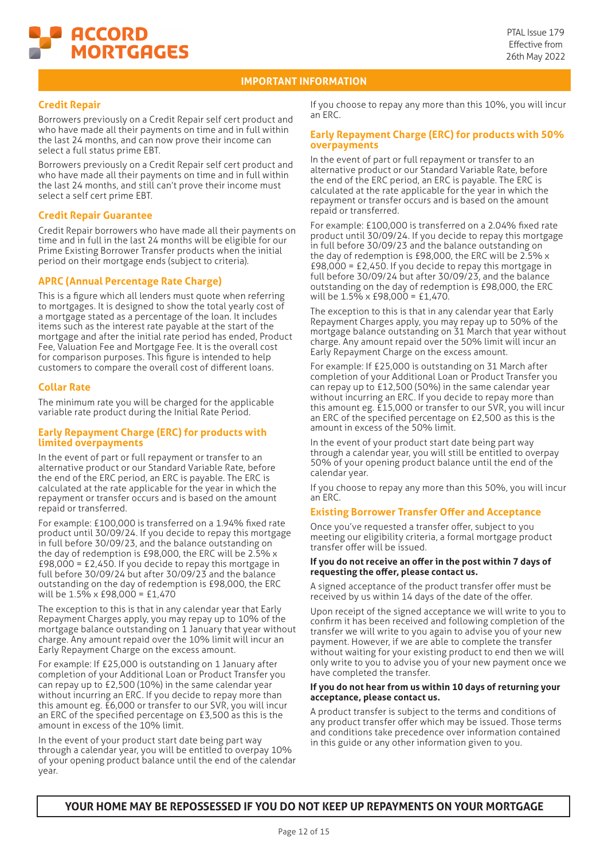

# **Credit Repair**

Borrowers previously on a Credit Repair self cert product and who have made all their payments on time and in full within the last 24 months, and can now prove their income can select a full status prime EBT.

Borrowers previously on a Credit Repair self cert product and who have made all their payments on time and in full within the last 24 months, and still can't prove their income must select a self cert prime EBT.

#### **Credit Repair Guarantee**

Credit Repair borrowers who have made all their payments on time and in full in the last 24 months will be eligible for our Prime Existing Borrower Transfer products when the initial period on their mortgage ends (subject to criteria).

# **APRC (Annual Percentage Rate Charge)**

This is a figure which all lenders must quote when referring to mortgages. It is designed to show the total yearly cost of a mortgage stated as a percentage of the loan. It includes items such as the interest rate payable at the start of the mortgage and after the initial rate period has ended, Product Fee, Valuation Fee and Mortgage Fee. It is the overall cost for comparison purposes. This figure is intended to help customers to compare the overall cost of different loans.

#### **Collar Rate**

The minimum rate you will be charged for the applicable variable rate product during the Initial Rate Period.

#### **Early Repayment Charge (ERC) for products with limited overpayments**

In the event of part or full repayment or transfer to an alternative product or our Standard Variable Rate, before the end of the ERC period, an ERC is payable. The ERC is calculated at the rate applicable for the year in which the repayment or transfer occurs and is based on the amount repaid or transferred.

For example: £100,000 is transferred on a 1.94% fixed rate product until 30/09/24. If you decide to repay this mortgage in full before 30/09/23, and the balance outstanding on the day of redemption is £98,000, the ERC will be 2.5% x £98,000 = £2,450. If you decide to repay this mortgage in full before 30/09/24 but after 30/09/23 and the balance outstanding on the day of redemption is £98,000, the ERC will be 1.5% x £98,000 = £1,470

The exception to this is that in any calendar year that Early Repayment Charges apply, you may repay up to 10% of the mortgage balance outstanding on 1 January that year without charge. Any amount repaid over the 10% limit will incur an Early Repayment Charge on the excess amount.

For example: If £25,000 is outstanding on 1 January after completion of your Additional Loan or Product Transfer you can repay up to £2,500 (10%) in the same calendar year without incurring an ERC. If you decide to repay more than this amount eg. £6,000 or transfer to our SVR, you will incur an ERC of the specified percentage on £3,500 as this is the amount in excess of the 10% limit.

In the event of your product start date being part way through a calendar year, you will be entitled to overpay 10% of your opening product balance until the end of the calendar year.

If you choose to repay any more than this 10%, you will incur an ERC.

#### **Early Repayment Charge (ERC) for products with 50% overpayments**

In the event of part or full repayment or transfer to an alternative product or our Standard Variable Rate, before the end of the ERC period, an ERC is payable. The ERC is calculated at the rate applicable for the year in which the repayment or transfer occurs and is based on the amount repaid or transferred.

For example: £100,000 is transferred on a 2.04% fixed rate product until 30/09/24. If you decide to repay this mortgage in full before 30/09/23 and the balance outstanding on the day of redemption is £98,000, the ERC will be 2.5% x £98,000 = £2,450. If you decide to repay this mortgage in full before 30/09/24 but after 30/09/23, and the balance outstanding on the day of redemption is £98,000, the ERC will be 1.5% x £98,000 = £1,470.

The exception to this is that in any calendar year that Early Repayment Charges apply, you may repay up to 50% of the mortgage balance outstanding on 31 March that year without charge. Any amount repaid over the 50% limit will incur an Early Repayment Charge on the excess amount.

For example: If £25,000 is outstanding on 31 March after completion of your Additional Loan or Product Transfer you can repay up to £12,500 (50%) in the same calendar year without incurring an ERC. If you decide to repay more than this amount eg. £15,000 or transfer to our SVR, you will incur an ERC of the specified percentage on £2,500 as this is the amount in excess of the 50% limit.

In the event of your product start date being part way through a calendar year, you will still be entitled to overpay 50% of your opening product balance until the end of the calendar year.

If you choose to repay any more than this 50%, you will incur an ERC.

#### **Existing Borrower Transfer Offer and Acceptance**

Once you've requested a transfer offer, subject to you meeting our eligibility criteria, a formal mortgage product transfer offer will be issued.

#### **If you do not receive an offer in the post within 7 days of requesting the offer, please contact us.**

A signed acceptance of the product transfer offer must be received by us within 14 days of the date of the offer.

Upon receipt of the signed acceptance we will write to you to confirm it has been received and following completion of the transfer we will write to you again to advise you of your new payment. However, if we are able to complete the transfer without waiting for your existing product to end then we will only write to you to advise you of your new payment once we have completed the transfer.

#### **If you do not hear from us within 10 days of returning your acceptance, please contact us.**

A product transfer is subject to the terms and conditions of any product transfer offer which may be issued. Those terms and conditions take precedence over information contained in this guide or any other information given to you.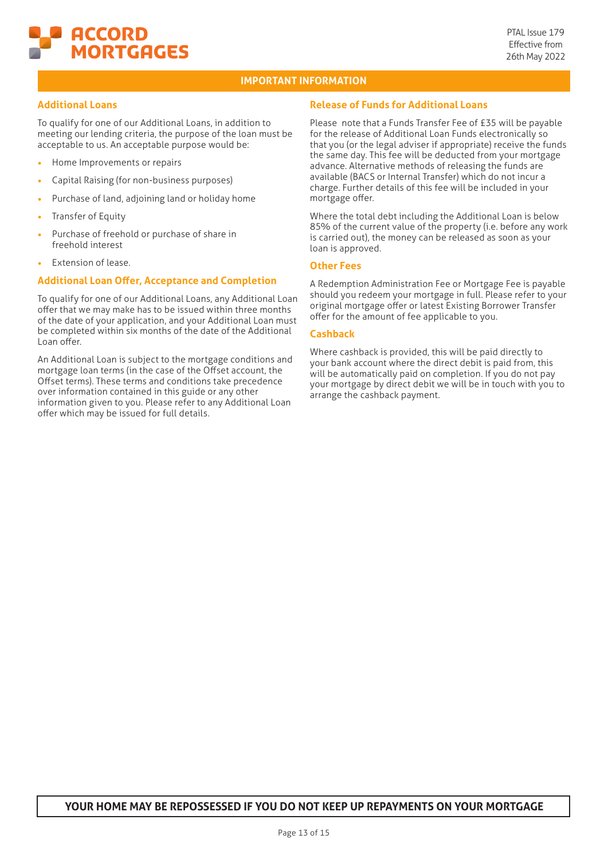

# **Additional Loans**

To qualify for one of our Additional Loans, in addition to meeting our lending criteria, the purpose of the loan must be acceptable to us. An acceptable purpose would be:

- **•** Home Improvements or repairs
- **•** Capital Raising (for non-business purposes)
- **•** Purchase of land, adjoining land or holiday home
- **•** Transfer of Equity
- **•** Purchase of freehold or purchase of share in freehold interest
- **•** Extension of lease.

#### **Additional Loan Offer, Acceptance and Completion**

To qualify for one of our Additional Loans, any Additional Loan offer that we may make has to be issued within three months of the date of your application, and your Additional Loan must be completed within six months of the date of the Additional Loan offer.

An Additional Loan is subject to the mortgage conditions and mortgage loan terms (in the case of the Offset account, the Offset terms). These terms and conditions take precedence over information contained in this guide or any other information given to you. Please refer to any Additional Loan offer which may be issued for full details.

# **Release of Funds for Additional Loans**

Please note that a Funds Transfer Fee of £35 will be payable for the release of Additional Loan Funds electronically so that you (or the legal adviser if appropriate) receive the funds the same day. This fee will be deducted from your mortgage advance. Alternative methods of releasing the funds are available (BACS or Internal Transfer) which do not incur a charge. Further details of this fee will be included in your mortgage offer.

Where the total debt including the Additional Loan is below 85% of the current value of the property (i.e. before any work is carried out), the money can be released as soon as your loan is approved.

# **Other Fees**

A Redemption Administration Fee or Mortgage Fee is payable should you redeem your mortgage in full. Please refer to your original mortgage offer or latest Existing Borrower Transfer offer for the amount of fee applicable to you.

#### **Cashback**

Where cashback is provided, this will be paid directly to your bank account where the direct debit is paid from, this will be automatically paid on completion. If you do not pay your mortgage by direct debit we will be in touch with you to arrange the cashback payment.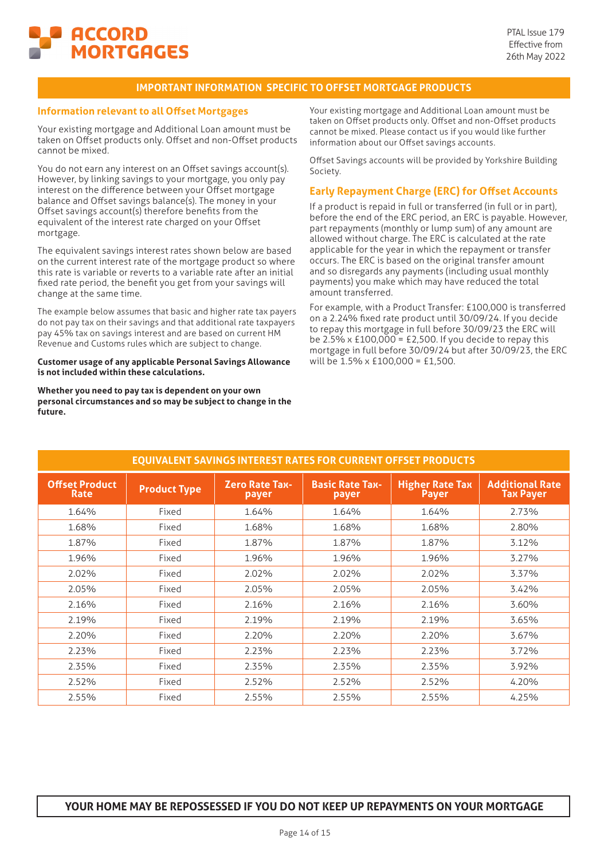

# **IMPORTANT INFORMATION SPECIFIC TO OFFSET MORTGAGE PRODUCTS**

#### **Information relevant to all Offset Mortgages**

Your existing mortgage and Additional Loan amount must be taken on Offset products only. Offset and non-Offset products cannot be mixed.

You do not earn any interest on an Offset savings account(s). However, by linking savings to your mortgage, you only pay interest on the difference between your Offset mortgage balance and Offset savings balance(s). The money in your Offset savings account(s) therefore benefits from the equivalent of the interest rate charged on your Offset mortgage.

The equivalent savings interest rates shown below are based on the current interest rate of the mortgage product so where this rate is variable or reverts to a variable rate after an initial fixed rate period, the benefit you get from your savings will change at the same time.

The example below assumes that basic and higher rate tax payers do not pay tax on their savings and that additional rate taxpayers pay 45% tax on savings interest and are based on current HM Revenue and Customs rules which are subject to change.

#### **Customer usage of any applicable Personal Savings Allowance is not included within these calculations.**

**Whether you need to pay tax is dependent on your own personal circumstances and so may be subject to change in the future.**

Your existing mortgage and Additional Loan amount must be taken on Offset products only. Offset and non-Offset products cannot be mixed. Please contact us if you would like further information about our Offset savings accounts.

Offset Savings accounts will be provided by Yorkshire Building Society.

# **Early Repayment Charge (ERC) for Offset Accounts**

If a product is repaid in full or transferred (in full or in part), before the end of the ERC period, an ERC is payable. However, part repayments (monthly or lump sum) of any amount are allowed without charge. The ERC is calculated at the rate applicable for the year in which the repayment or transfer occurs. The ERC is based on the original transfer amount and so disregards any payments (including usual monthly payments) you make which may have reduced the total amount transferred.

For example, with a Product Transfer: £100,000 is transferred on a 2.24% fixed rate product until 30/09/24. If you decide to repay this mortgage in full before 30/09/23 the ERC will be 2.5% x £100,000 = £2,500. If you decide to repay this mortgage in full before 30/09/24 but after 30/09/23, the ERC will be 1.5% x £100,000 = £1,500.

|                                      |                     | <b>EQUIVALENT SAVINGS INTEREST RATES FOR CURRENT OFFSET PRODUCTS</b> |                                 |                                        |                                            |
|--------------------------------------|---------------------|----------------------------------------------------------------------|---------------------------------|----------------------------------------|--------------------------------------------|
| <b>Offset Product</b><br><b>Rate</b> | <b>Product Type</b> | <b>Zero Rate Tax-</b><br>payer                                       | <b>Basic Rate Tax-</b><br>payer | <b>Higher Rate Tax</b><br><b>Payer</b> | <b>Additional Rate</b><br><b>Tax Payer</b> |
| 1.64%                                | Fixed               | 1.64%                                                                | 1.64%                           | 1.64%                                  | 2.73%                                      |
| 1.68%                                | Fixed               | 1.68%                                                                | 1.68%                           | 1.68%                                  | 2.80%                                      |
| 1.87%                                | Fixed               | 1.87%                                                                | 1.87%                           | 1.87%                                  | 3.12%                                      |
| 1.96%                                | Fixed               | 1.96%                                                                | 1.96%                           | 1.96%                                  | 3.27%                                      |
| 2.02%                                | Fixed               | 2.02%                                                                | 2.02%                           | 2.02%                                  | 3.37%                                      |
| 2.05%                                | Fixed               | 2.05%                                                                | 2.05%                           | 2.05%                                  | 3.42%                                      |
| 2.16%                                | Fixed               | 2.16%                                                                | 2.16%                           | 2.16%                                  | 3.60%                                      |
| 2.19%                                | Fixed               | 2.19%                                                                | 2.19%                           | 2.19%                                  | 3.65%                                      |
| 2.20%                                | Fixed               | 2.20%                                                                | 2.20%                           | 2.20%                                  | 3.67%                                      |
| 2.23%                                | Fixed               | 2.23%                                                                | 2.23%                           | 2.23%                                  | 3.72%                                      |
| 2.35%                                | Fixed               | 2.35%                                                                | 2.35%                           | 2.35%                                  | 3.92%                                      |
| 2.52%                                | Fixed               | 2.52%                                                                | 2.52%                           | 2.52%                                  | 4.20%                                      |
| 2.55%                                | Fixed               | 2.55%                                                                | 2.55%                           | 2.55%                                  | 4.25%                                      |